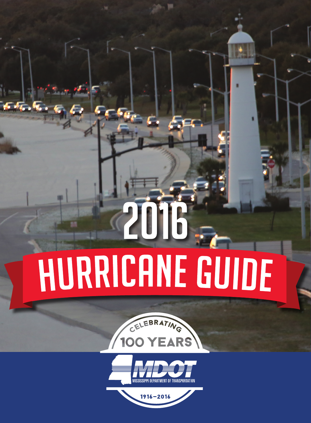# 2016 **HURRICANE GUIDE**



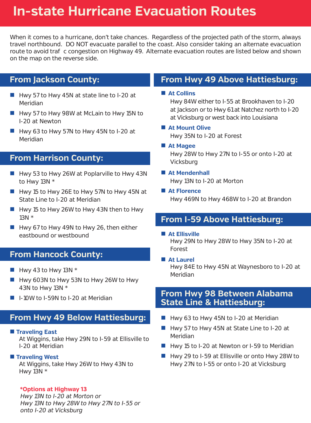# **In-state Hurricane Evacuation Routes**

When it comes to a hurricane, don't take chances. Regardless of the projected path of the storm, always travel northbound. DO NOT evacuate parallel to the coast. Also consider taking an alternate evacuation route to avoid tra c congestion on Highway 49. Alternate evacuation routes are listed below and shown on the map on the reverse side.

# **From Jackson County:**

- Hwy 57 to Hwy 45N at state line to I-20 at Meridian
- Hwy 57 to Hwy 98W at McLain to Hwy 15N to I-20 at Newton
- $\blacksquare$  Hwy 63 to Hwy 57N to Hwy 45N to I-20 at Meridian

# **From Harrison County:**

- $\blacksquare$  Hwy 53 to Hwy 26W at Poplarville to Hwy 43N to Hwy 13N \*
- $\blacksquare$  Hwy 15 to Hwy 26E to Hwy 57N to Hwy 45N at State Line to I-20 at Meridian
- Hwy 15 to Hwy 26W to Hwy 43N then to Hwy 13N \*
- $\blacksquare$  Hwy 67 to Hwy 49N to Hwy 26, then either eastbound or westbound

# **From Hancock County:**

- $\blacksquare$  Hwy 43 to Hwy 13N \*
- Hwy 603N to Hwy 53N to Hwy 26W to Hwy 43N to Hwy 13N \*
- I-10W to I-59N to I-20 at Meridian

# **From Hwy 49 Below Hattiesburg:**

**Traveling East** 

At Wiggins, take Hwy 29N to I-59 at Ellisville to I-20 at Meridian

### **Traveling West**

At Wiggins, take Hwy 26W to Hwy 43N to Hwy 13N \*

### **\*Options at Highway 13**

Hwy 13N to I-20 at Morton or Hwy 13N to Hwy 28W to Hwy 27N to I-55 or onto I-20 at Vicksburg

# **From Hwy 49 Above Hattiesburg:**

**At Collins**

Hwy 84W either to I-55 at Brookhaven to I-20 at Jackson or to Hwy 61 at Natchez north to I-20 at Vicksburg or west back into Louisiana

### **At Mount Olive**

Hwy 35N to I-20 at Forest

**At Magee**

Hwy 28W to Hwy 27N to I-55 or onto I-20 at Vicksburg

- **At Mendenhall** Hwy 13N to I-20 at Morton
- **At Florence**

Hwy 469N to Hwy 468W to I-20 at Brandon

# **From I-59 Above Hattiesburg:**

**At Ellisville**

Hwy 29N to Hwy 28W to Hwy 35N to I-20 at Forest

**At Laurel**

Hwy 84E to Hwy 45N at Waynesboro to I-20 at Meridian

# **From Hwy 98 Between Alabama State Line & Hattiesburg:**

- Hwy 63 to Hwy 45N to I-20 at Meridian
- Hwy 57 to Hwy 45N at State Line to I-20 at Meridian
- Hwy 15 to I-20 at Newton or I-59 to Meridian
- Hwy 29 to I-59 at Ellisville or onto Hwy 28W to Hwy 27N to I-55 or onto I-20 at Vicksburg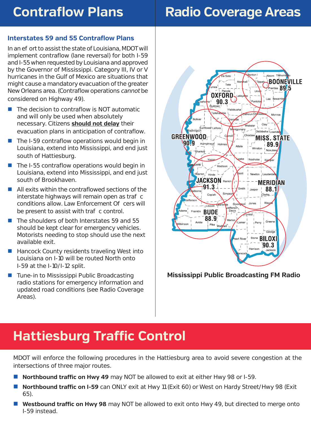# **Contraflow Plans**

# **Interstates 59 and 55 Contraflow Plans**

In an eerat to assist the state of Louisiana, MDOT will implement contraflow (lane reversal) for both I-59 and I-55 when requested by Louisiana and approved by the Governor of Mississippi. Category III, IV or V hurricanes in the Gulf of Mexico are situations that might cause a mandatory evacuation of the greater New Orleans area. (Contraflow operations cannot be considered on Highway 49).

- $\blacksquare$  The decision to contraflow is NOT automatic and will only be used when absolutely necessary. Citizens **should not delay** their evacuation plans in anticipation of contraflow.
- $\blacksquare$  The I-59 contraflow operations would begin in Louisiana, extend into Mississippi, and end just south of Hattiesburg.
- $\blacksquare$  The I-55 contraflow operations would begin in Louisiana, extend into Mississippi, and end just south of Brookhaven.
- All exits within the contraflowed sections of the interstate highways will remain open as tra c conditions allow. Law Enforcement O cers will be present to assist with tra c control.
- The shoulders of both Interstates 59 and 55 should be kept clear for emergency vehicles. Motorists needing to stop should use the next available exit.
- Hancock County residents traveling West into Louisiana on I-10 will be routed North onto I-59 at the I-10/I-12 split.
- Tune-in to Mississippi Public Broadcasting radio stations for emergency information and updated road conditions (see Radio Coverage Areas).

# **Radio Coverage Areas**



### **Mississippi Public Broadcasting FM Radio**

# **Hattiesburg Traffic Control**

MDOT will enforce the following procedures in the Hattiesburg area to avoid severe congestion at the intersections of three major routes.

- **Northbound traffic on Hwy 49** may NOT be allowed to exit at either Hwy 98 or I-59.
- **Northbound traffic on I-59** can ONLY exit at Hwy 11 (Exit 60) or West on Hardy Street/Hwy 98 (Exit 65).
- **Westbound traffic on Hwy 98** may NOT be allowed to exit onto Hwy 49, but directed to merge onto I-59 instead.